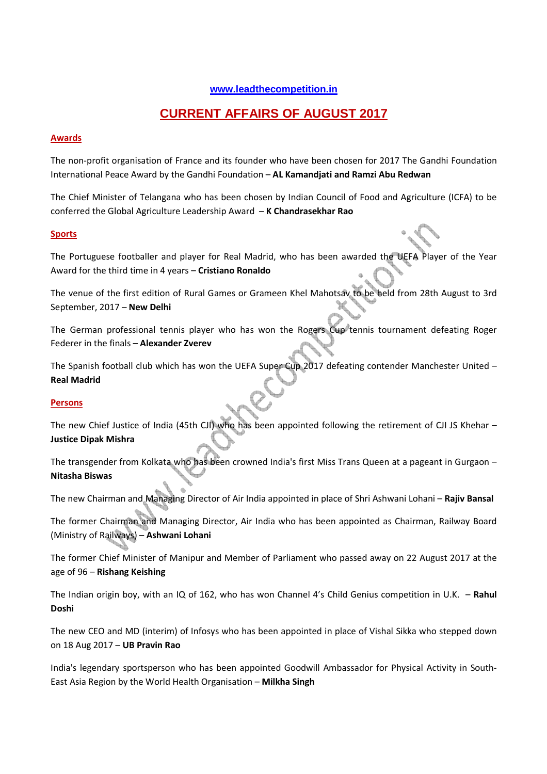# **www.leadthecompetition.in**

# **CURRENT AFFAIRS OF AUGUST 2017**

# **Awards**

The non-profit organisation of France and its founder who have been chosen for 2017 The Gandhi Foundation International Peace Award by the Gandhi Foundation – **AL Kamandjati and Ramzi Abu Redwan**

The Chief Minister of Telangana who has been chosen by Indian Council of Food and Agriculture (ICFA) to be conferred the Global Agriculture Leadership Award – **K Chandrasekhar Rao**

#### **Sports**

The Portuguese footballer and player for Real Madrid, who has been awarded the UEFA Player of the Year Award for the third time in 4 years – **Cristiano Ronaldo**

The venue of the first edition of Rural Games or Grameen Khel Mahotsav to be held from 28th August to 3rd September, 2017 – **New Delhi**

The German professional tennis player who has won the Rogers Cup tennis tournament defeating Roger Federer in the finals – **Alexander Zverev**

The Spanish football club which has won the UEFA Super Cup 2017 defeating contender Manchester United – **Real Madrid**

#### **Persons**

The new Chief Justice of India (45th CJI) who has been appointed following the retirement of CJI JS Khehar – **Justice Dipak Mishra**

The transgender from Kolkata who has been crowned India's first Miss Trans Queen at a pageant in Gurgaon – **Nitasha Biswas**

The new Chairman and Managing Director of Air India appointed in place of Shri Ashwani Lohani – **Rajiv Bansal**

The former Chairman and Managing Director, Air India who has been appointed as Chairman, Railway Board (Ministry of Railways) – **Ashwani Lohani**

The former Chief Minister of Manipur and Member of Parliament who passed away on 22 August 2017 at the age of 96 – **Rishang Keishing**

The Indian origin boy, with an IQ of 162, who has won Channel 4's Child Genius competition in U.K. – **Rahul Doshi**

The new CEO and MD (interim) of Infosys who has been appointed in place of Vishal Sikka who stepped down on 18 Aug 2017 – **UB Pravin Rao**

India's legendary sportsperson who has been appointed Goodwill Ambassador for Physical Activity in South-East Asia Region by the World Health Organisation – **Milkha Singh**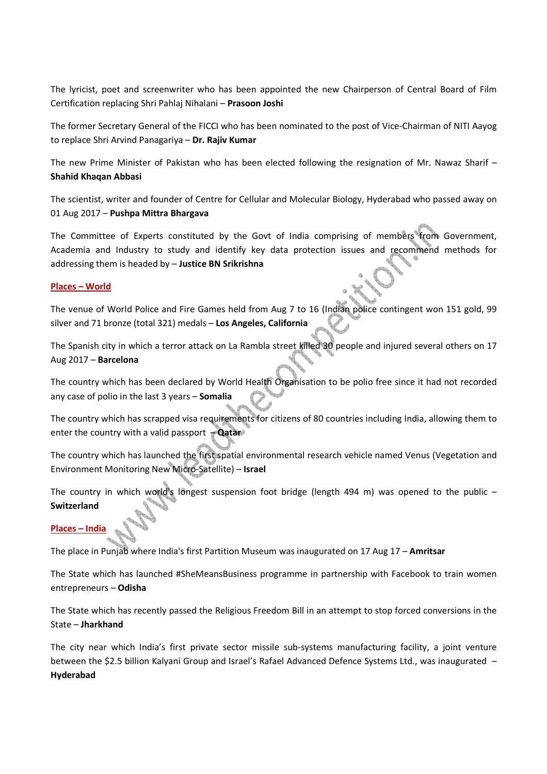The lyricist, poet and screenwriter who has been appointed the new Chairperson of Central Board of Film Certification replacing Shri Pahlaj Nihalani – **Prasoon Joshi**

The former Secretary General of the FICCI who has been nominated to the post of Vice-Chairman of NITI Aayog to replace Shri Arvind Panagariya – **Dr. Rajiv Kumar**

The new Prime Minister of Pakistan who has been elected following the resignation of Mr. Nawaz Sharif – **Shahid Khaqan Abbasi**

The scientist, writer and founder of Centre for Cellular and Molecular Biology, Hyderabad who passed away on 01 Aug 2017 – **Pushpa Mittra Bhargava**

The Committee of Experts constituted by the Govt of India comprising of members from Government, Academia and Industry to study and identify key data protection issues and recommend methods for addressing them is headed by – **Justice BN Srikrishna**

#### **Places – World**

The venue of World Police and Fire Games held from Aug 7 to 16 (Indian police contingent won 151 gold, 99 silver and 71 bronze (total 321) medals – **Los Angeles, California**

The Spanish city in which a terror attack on La Rambla street killed 30 people and injured several others on 17 Aug 2017 – **Barcelona** 

The country which has been declared by World Health Organisation to be polio free since it had not recorded any case of polio in the last 3 years – **Somalia** 

The country which has scrapped visa requirements for citizens of 80 countries including India, allowing them to enter the country with a valid passport – **Qatar**

The country which has launched the first spatial environmental research vehicle named Venus (Vegetation and Environment Monitoring New Micro-Satellite) – **Israel** 

The country in which world's longest suspension foot bridge (length 494 m) was opened to the public  $-$ **Switzerland**

#### **Places – India**

The place in Punjab where India's first Partition Museum was inaugurated on 17 Aug 17 – **Amritsar**

The State which has launched #SheMeansBusiness programme in partnership with Facebook to train women entrepreneurs – **Odisha**

The State which has recently passed the Religious Freedom Bill in an attempt to stop forced conversions in the State – **Jharkhand**

The city near which India's first private sector missile sub-systems manufacturing facility, a joint venture between the \$2.5 billion Kalyani Group and Israel's Rafael Advanced Defence Systems Ltd., was inaugurated – **Hyderabad**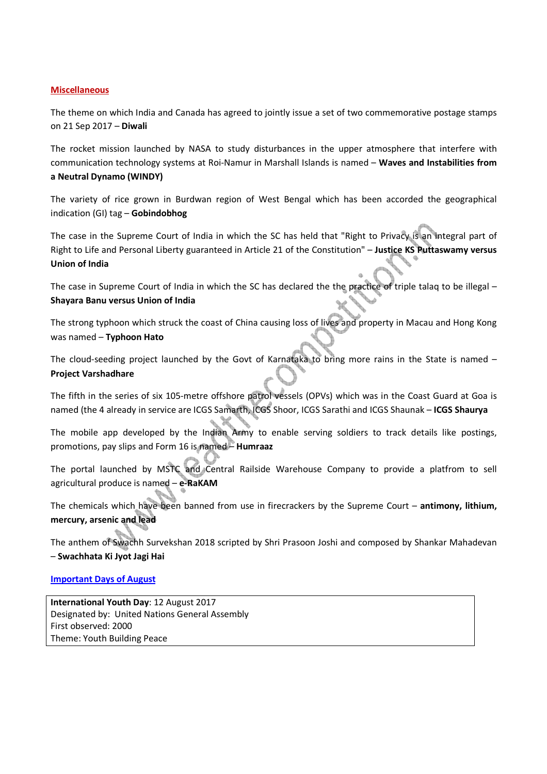#### **Miscellaneous**

The theme on which India and Canada has agreed to jointly issue a set of two commemorative postage stamps on 21 Sep 2017 – **Diwali**

The rocket mission launched by NASA to study disturbances in the upper atmosphere that interfere with communication technology systems at Roi-Namur in Marshall Islands is named – **Waves and Instabilities from a Neutral Dynamo (WINDY)**

The variety of rice grown in Burdwan region of West Bengal which has been accorded the geographical indication (GI) tag – **Gobindobhog** 

The case in the Supreme Court of India in which the SC has held that "Right to Privacy is an integral part of Right to Life and Personal Liberty guaranteed in Article 21 of the Constitution" – **Justice KS Puttaswamy versus Union of India**

The case in Supreme Court of India in which the SC has declared the the practice of triple talaq to be illegal – **Shayara Banu versus Union of India**

The strong typhoon which struck the coast of China causing loss of lives and property in Macau and Hong Kong was named – **Typhoon Hato**

The cloud-seeding project launched by the Govt of Karnataka to bring more rains in the State is named -**Project Varshadhare**

The fifth in the series of six 105-metre offshore patrol vessels (OPVs) which was in the Coast Guard at Goa is named (the 4 already in service are ICGS Samarth, ICGS Shoor, ICGS Sarathi and ICGS Shaunak – **ICGS Shaurya**

The mobile app developed by the Indian Army to enable serving soldiers to track details like postings, promotions, pay slips and Form 16 is named – **Humraaz**

The portal launched by MSTC and Central Railside Warehouse Company to provide a platfrom to sell agricultural produce is named – **e-RaKAM**

The chemicals which have been banned from use in firecrackers by the Supreme Court – **antimony, lithium, mercury, arsenic and lead**

The anthem of Swachh Survekshan 2018 scripted by Shri Prasoon Joshi and composed by Shankar Mahadevan – **Swachhata Ki Jyot Jagi Hai**

# **Important Days of August**

**International Youth Day**: 12 August 2017 Designated by: United Nations General Assembly First observed: 2000 Theme: Youth Building Peace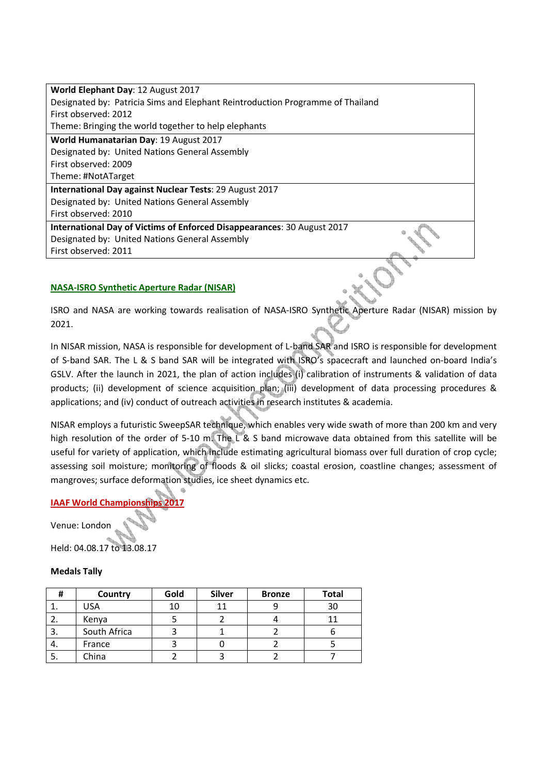| World Elephant Day: 12 August 2017                                             |  |
|--------------------------------------------------------------------------------|--|
| Designated by: Patricia Sims and Elephant Reintroduction Programme of Thailand |  |
| First observed: 2012                                                           |  |
| Theme: Bringing the world together to help elephants                           |  |
| World Humanatarian Day: 19 August 2017                                         |  |
| Designated by: United Nations General Assembly                                 |  |
| First observed: 2009                                                           |  |
| Theme: #NotATarget                                                             |  |
| International Day against Nuclear Tests: 29 August 2017                        |  |
| Designated by: United Nations General Assembly                                 |  |
| First observed: 2010                                                           |  |
| International Day of Victims of Enforced Disappearances: 30 August 2017        |  |
| Designated by: United Nations General Assembly                                 |  |
| First observed: 2011                                                           |  |
|                                                                                |  |

# **NASA-ISRO Synthetic Aperture Radar (NISAR)**

ISRO and NASA are working towards realisation of NASA-ISRO Synthetic Aperture Radar (NISAR) mission by 2021.

In NISAR mission, NASA is responsible for development of L-band SAR and ISRO is responsible for development of S-band SAR. The L & S band SAR will be integrated with ISRO's spacecraft and launched on-board India's GSLV. After the launch in 2021, the plan of action includes (i) calibration of instruments & validation of data products; (ii) development of science acquisition plan; (iii) development of data processing procedures & applications; and (iv) conduct of outreach activities in research institutes & academia.

NISAR employs a futuristic SweepSAR technique, which enables very wide swath of more than 200 km and very high resolution of the order of 5-10 m. The L & S band microwave data obtained from this satellite will be useful for variety of application, which include estimating agricultural biomass over full duration of crop cycle; assessing soil moisture; monitoring of floods & oil slicks; coastal erosion, coastline changes; assessment of mangroves; surface deformation studies, ice sheet dynamics etc.

# **IAAF World Championships 2017**

Venue: London

Held: 04.08.17 to 13.08.17

# **Medals Tally**

| Ħ  | Country      | Gold | <b>Silver</b> | <b>Bronze</b> | <b>Total</b> |
|----|--------------|------|---------------|---------------|--------------|
|    | <b>USA</b>   | 10   | 11            |               | 30           |
|    | Kenya        |      |               |               |              |
| э. | South Africa |      |               |               |              |
| 4. | France       |      |               |               |              |
| J. | China        |      |               |               |              |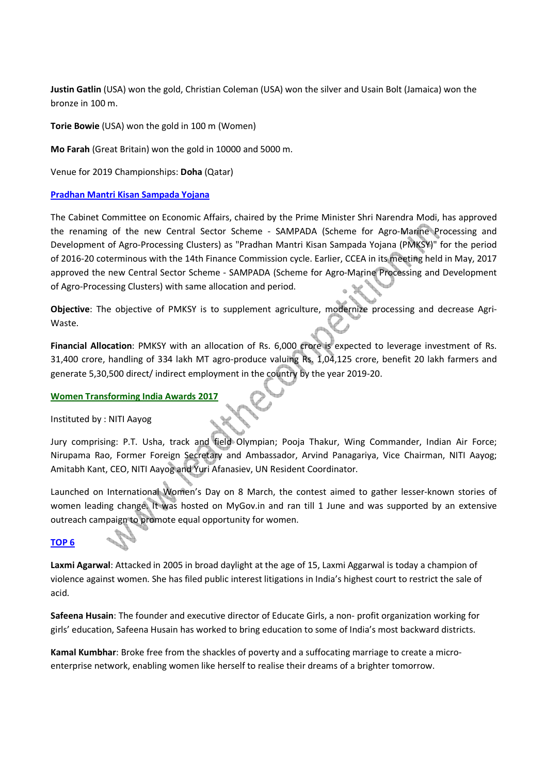**Justin Gatlin** (USA) won the gold, Christian Coleman (USA) won the silver and Usain Bolt (Jamaica) won the bronze in 100 m.

**Torie Bowie** (USA) won the gold in 100 m (Women)

**Mo Farah** (Great Britain) won the gold in 10000 and 5000 m.

Venue for 2019 Championships: **Doha** (Qatar)

#### **Pradhan Mantri Kisan Sampada Yojana**

The Cabinet Committee on Economic Affairs, chaired by the Prime Minister Shri Narendra Modi, has approved the renaming of the new Central Sector Scheme - SAMPADA (Scheme for Agro-Marine Processing and Development of Agro-Processing Clusters) as "Pradhan Mantri Kisan Sampada Yojana (PMKSY)" for the period of 2016-20 coterminous with the 14th Finance Commission cycle. Earlier, CCEA in its meeting held in May, 2017 approved the new Central Sector Scheme - SAMPADA (Scheme for Agro-Marine Processing and Development of Agro-Processing Clusters) with same allocation and period.

**Objective**: The objective of PMKSY is to supplement agriculture, modernize processing and decrease Agri-Waste.

**Financial Allocation**: PMKSY with an allocation of Rs. 6,000 crore is expected to leverage investment of Rs. 31,400 crore, handling of 334 lakh MT agro-produce valuing Rs. 1,04,125 crore, benefit 20 lakh farmers and generate 5,30,500 direct/ indirect employment in the country by the year 2019-20.

#### **Women Transforming India Awards 2017**

Instituted by : NITI Aayog

Jury comprising: P.T. Usha, track and field Olympian; Pooja Thakur, Wing Commander, Indian Air Force; Nirupama Rao, Former Foreign Secretary and Ambassador, Arvind Panagariya, Vice Chairman, NITI Aayog; Amitabh Kant, CEO, NITI Aayog and Yuri Afanasiev, UN Resident Coordinator.

Launched on International Women's Day on 8 March, the contest aimed to gather lesser-known stories of women leading change. It was hosted on MyGov.in and ran till 1 June and was supported by an extensive outreach campaign to promote equal opportunity for women.

# **TOP 6**

**Laxmi Agarwal**: Attacked in 2005 in broad daylight at the age of 15, Laxmi Aggarwal is today a champion of violence against women. She has filed public interest litigations in India's highest court to restrict the sale of acid.

**Safeena Husain**: The founder and executive director of Educate Girls, a non- profit organization working for girls' education, Safeena Husain has worked to bring education to some of India's most backward districts.

**Kamal Kumbhar**: Broke free from the shackles of poverty and a suffocating marriage to create a microenterprise network, enabling women like herself to realise their dreams of a brighter tomorrow.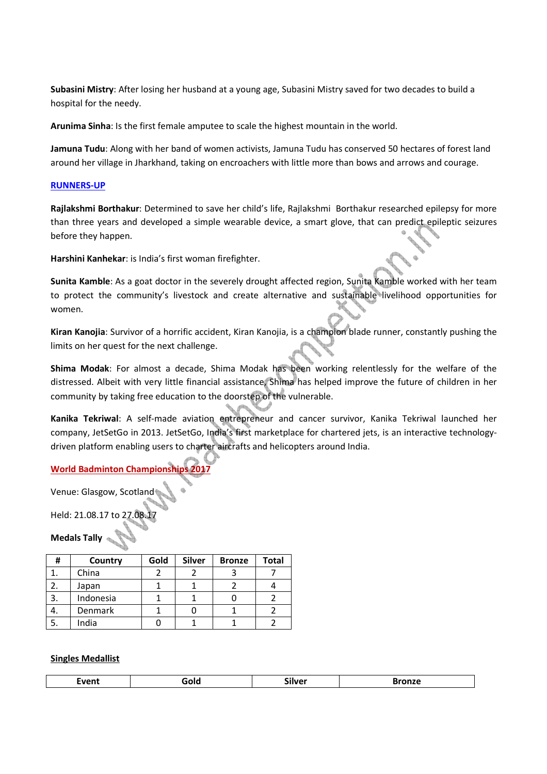**Subasini Mistry**: After losing her husband at a young age, Subasini Mistry saved for two decades to build a hospital for the needy.

**Arunima Sinha**: Is the first female amputee to scale the highest mountain in the world.

**Jamuna Tudu**: Along with her band of women activists, Jamuna Tudu has conserved 50 hectares of forest land around her village in Jharkhand, taking on encroachers with little more than bows and arrows and courage.

#### **RUNNERS-UP**

**Rajlakshmi Borthakur**: Determined to save her child's life, Rajlakshmi Borthakur researched epilepsy for more than three years and developed a simple wearable device, a smart glove, that can predict epileptic seizures before they happen.

**Harshini Kanhekar**: is India's first woman firefighter.

**Sunita Kamble**: As a goat doctor in the severely drought affected region, Sunita Kamble worked with her team to protect the community's livestock and create alternative and sustainable livelihood opportunities for M women.

**Kiran Kanojia**: Survivor of a horrific accident, Kiran Kanojia, is a champion blade runner, constantly pushing the limits on her quest for the next challenge.

**Shima Modak**: For almost a decade, Shima Modak has been working relentlessly for the welfare of the distressed. Albeit with very little financial assistance, Shima has helped improve the future of children in her community by taking free education to the doorstep of the vulnerable.

**Kanika Tekriwal**: A self-made aviation entrepreneur and cancer survivor, Kanika Tekriwal launched her company, JetSetGo in 2013. JetSetGo, India's first marketplace for chartered jets, is an interactive technologydriven platform enabling users to charter aircrafts and helicopters around India.

# **World Badminton Championship**

Venue: Glasgow, Scotland

Held: 21.08.17 to 27.08.17

**Medals Tally** 

| Ħ  | Country        | Gold | <b>Silver</b> | <b>Bronze</b> | <b>Total</b> |
|----|----------------|------|---------------|---------------|--------------|
|    | China          |      |               |               |              |
|    | Japan          |      |               |               |              |
| 3. | Indonesia      |      |               |               |              |
| ٠. | <b>Denmark</b> |      |               |               |              |
| э. | India          |      |               |               |              |

# **Singles Medallist**

| $\sim$<br>____<br>_____<br>___<br>_____ |
|-----------------------------------------|
|-----------------------------------------|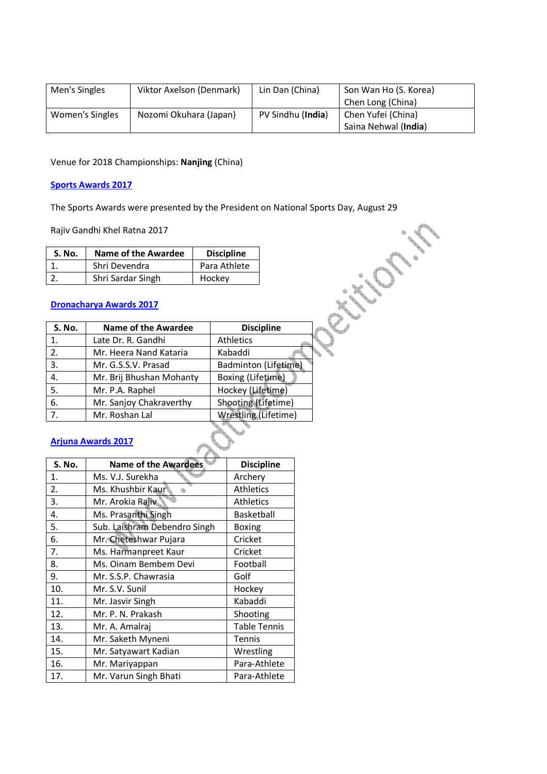| Men's Singles   | Viktor Axelson (Denmark) | Lin Dan (China)   | Son Wan Ho (S. Korea) |
|-----------------|--------------------------|-------------------|-----------------------|
|                 |                          |                   | Chen Long (China)     |
| Women's Singles | Nozomi Okuhara (Japan)   | PV Sindhu (India) | Chen Yufei (China)    |
|                 |                          |                   | Saina Nehwal (India)  |

Venue for 2018 Championships: **Nanjing** (China)

#### **Sports Awards 2017**

The Sports Awards were presented by the President on National Sports Day, August 29

| S. No. | <b>Name of the Awardee</b> | <b>Discipline</b> |
|--------|----------------------------|-------------------|
|        | Shri Devendra              | Para Athlete      |
|        | Shri Sardar Singh          | Hockey            |

# **Dronacharya Awards 2017**

|               | Rajiv Gandhi Khel Ratna 2017   |                      |                      |  |
|---------------|--------------------------------|----------------------|----------------------|--|
| <b>S. No.</b> | Name of the Awardee            | <b>Discipline</b>    |                      |  |
| 1.            | Shri Devendra                  | Para Athlete         |                      |  |
| 2.            | Shri Sardar Singh              | Hockey               |                      |  |
|               | <b>Dronacharya Awards 2017</b> |                      |                      |  |
| <b>S. No.</b> | Name of the Awardee            |                      | <b>Discipline</b>    |  |
| 1.            | Late Dr. R. Gandhi             | <b>Athletics</b>     |                      |  |
| 2.            | Mr. Heera Nand Kataria         | Kabaddi              |                      |  |
| 3.            | Mr. G.S.S.V. Prasad            |                      | Badminton (Lifetime) |  |
| 4.            | Mr. Brij Bhushan Mohanty       | Boxing (Lifetime)    |                      |  |
| 5.            | Mr. P.A. Raphel                | Hockey (Lifetime)    |                      |  |
| 6.            | Mr. Sanjoy Chakraverthy        | Shooting (Lifetime)  |                      |  |
| 7.            | Mr. Roshan Lal                 | Wrestling (Lifetime) |                      |  |

# **Arjuna Awards 2017**

| S. No. | Name of the Awardees         | <b>Discipline</b>   |
|--------|------------------------------|---------------------|
| 1.     | Ms. V.J. Surekha             | Archery             |
| 2.     | Ms. Khushbir Kaur            | <b>Athletics</b>    |
| 3.     | Mr. Arokia Rajiv             | <b>Athletics</b>    |
| 4.     | Ms. Prasanthi Singh          | Basketball          |
| 5.     | Sub. Laishram Debendro Singh | Boxing              |
| 6.     | Mr. Cheteshwar Pujara        | Cricket             |
| 7.     | Ms. Harmanpreet Kaur         | Cricket             |
| 8.     | Ms. Oinam Bembem Devi        | Football            |
| 9.     | Mr. S.S.P. Chawrasia         | Golf                |
| 10.    | Mr. S.V. Sunil               | Hockey              |
| 11.    | Mr. Jasvir Singh             | Kabaddi             |
| 12.    | Mr. P. N. Prakash            | Shooting            |
| 13.    | Mr. A. Amalraj               | <b>Table Tennis</b> |
| 14.    | Mr. Saketh Myneni            | <b>Tennis</b>       |
| 15.    | Mr. Satyawart Kadian         | Wrestling           |
| 16.    | Mr. Mariyappan               | Para-Athlete        |
| 17.    | Mr. Varun Singh Bhati        | Para-Athlete        |
|        |                              |                     |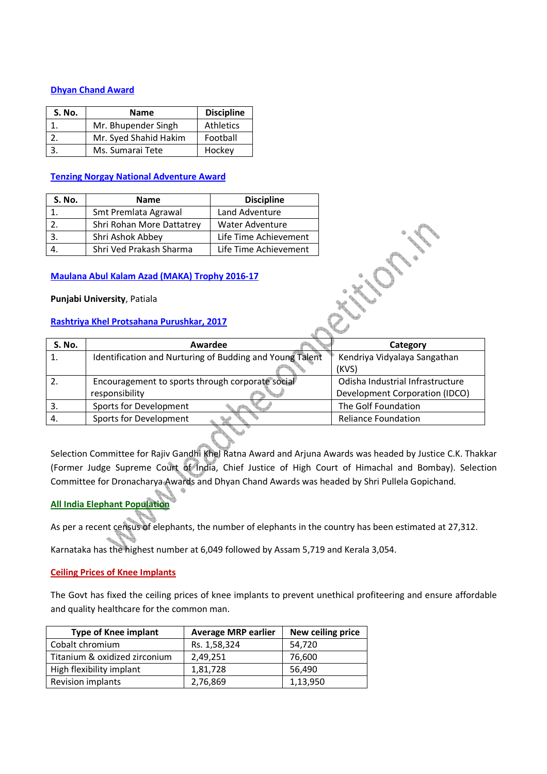# **Dhyan Chand Award**

| <b>S. No.</b> | <b>Name</b>           | <b>Discipline</b> |
|---------------|-----------------------|-------------------|
|               | Mr. Bhupender Singh   | <b>Athletics</b>  |
|               | Mr. Syed Shahid Hakim | Football          |
| 3.            | Ms. Sumarai Tete      | Hockey            |

# **Tenzing Norgay National Adventure Award**

| S. No. | <b>Name</b>               | <b>Discipline</b>     |
|--------|---------------------------|-----------------------|
|        | Smt Premlata Agrawal      | Land Adventure        |
|        | Shri Rohan More Dattatrey | Water Adventure       |
|        | Shri Ashok Abbey          | Life Time Achievement |
|        | Shri Ved Prakash Sharma   | Life Time Achievement |

# **Maulana Abul Kalam Azad (MAKA) Trophy 2016-17**

#### **Punjabi University**, Patiala

# **Rashtriya Khel Protsahana Purushkar, 2017**

| <b>S. No.</b> | Awardee                                                  | Category                         |
|---------------|----------------------------------------------------------|----------------------------------|
|               | Identification and Nurturing of Budding and Young Talent | Kendriya Vidyalaya Sangathan     |
|               |                                                          | (KVS)                            |
|               | Encouragement to sports through corporate social         | Odisha Industrial Infrastructure |
|               | responsibility                                           | Development Corporation (IDCO)   |
|               | Sports for Development                                   | The Golf Foundation              |
| 4.            | Sports for Development                                   | <b>Reliance Foundation</b>       |
|               |                                                          |                                  |

Selection Committee for Rajiv Gandhi Khel Ratna Award and Arjuna Awards was headed by Justice C.K. Thakkar (Former Judge Supreme Court of India, Chief Justice of High Court of Himachal and Bombay). Selection Committee for Dronacharya Awards and Dhyan Chand Awards was headed by Shri Pullela Gopichand.

# **All India Elephant Population**

As per a recent census of elephants, the number of elephants in the country has been estimated at 27,312.

Karnataka has the highest number at 6,049 followed by Assam 5,719 and Kerala 3,054.

# **Ceiling Prices of Knee Implants**

The Govt has fixed the ceiling prices of knee implants to prevent unethical profiteering and ensure affordable and quality healthcare for the common man.

| <b>Type of Knee implant</b>   | <b>Average MRP earlier</b> | New ceiling price |
|-------------------------------|----------------------------|-------------------|
| Cobalt chromium               | Rs. 1,58,324               | 54,720            |
| Titanium & oxidized zirconium | 2,49,251                   | 76,600            |
| High flexibility implant      | 1,81,728                   | 56,490            |
| Revision implants             | 2,76,869                   | 1,13,950          |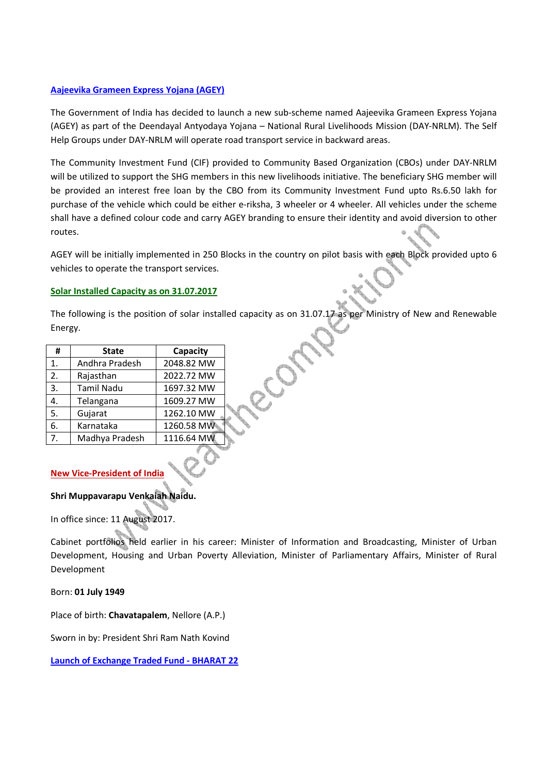# **Aajeevika Grameen Express Yojana (AGEY)**

The Government of India has decided to launch a new sub-scheme named Aajeevika Grameen Express Yojana (AGEY) as part of the Deendayal Antyodaya Yojana – National Rural Livelihoods Mission (DAY-NRLM). The Self Help Groups under DAY-NRLM will operate road transport service in backward areas.

The Community Investment Fund (CIF) provided to Community Based Organization (CBOs) under DAY-NRLM will be utilized to support the SHG members in this new livelihoods initiative. The beneficiary SHG member will be provided an interest free loan by the CBO from its Community Investment Fund upto Rs.6.50 lakh for purchase of the vehicle which could be either e-riksha, 3 wheeler or 4 wheeler. All vehicles under the scheme shall have a defined colour code and carry AGEY branding to ensure their identity and avoid diversion to other routes.

AGEY will be initially implemented in 250 Blocks in the country on pilot basis with each Block provided upto 6 vehicles to operate the transport services.

# **Solar Installed Capacity as on 31.07.2017**

The following is the position of solar installed capacity as on 31.07.17 as per Ministry of New and Renewable Energy.

| Ħ  | <b>State</b>      | Capacity   |  |
|----|-------------------|------------|--|
| 1. | Andhra Pradesh    | 2048.82 MW |  |
| 2. | Rajasthan         | 2022.72 MW |  |
| 3. | <b>Tamil Nadu</b> | 1697.32 MW |  |
| 4. | Telangana         | 1609.27 MW |  |
| 5. | Gujarat           | 1262.10 MW |  |
| 6. | Karnataka         | 1260.58 MW |  |
| 7. | Madhya Pradesh    | 1116.64 MW |  |

# **New Vice-President of India**

# **Shri Muppavarapu Venkaiah Naidu.**

In office since: 11 August 2017.

Cabinet portfolios held earlier in his career: Minister of Information and Broadcasting, Minister of Urban Development, Housing and Urban Poverty Alleviation, Minister of Parliamentary Affairs, Minister of Rural Development

# Born: **01 July 1949**

Place of birth: **Chavatapalem**, Nellore (A.P.)

Sworn in by: President Shri Ram Nath Kovind

**Launch of Exchange Traded Fund - BHARAT 22**